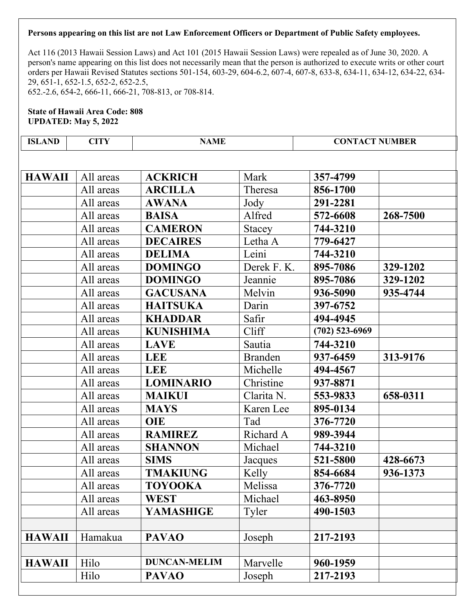Act 116 (2013 Hawaii Session Laws) and Act 101 (2015 Hawaii Session Laws) were repealed as of June 30, 2020. A person's name appearing on this list does not necessarily mean that the person is authorized to execute writs or other court orders per Hawaii Revised Statutes sections 501-154, 603-29, 604-6.2, 607-4, 607-8, 633-8, 634-11, 634-12, 634-22, 634- 29, 651-1, 652-1.5, 652-2, 652-2.5, 652.-2.6, 654-2, 666-11, 666-21, 708-813, or 708-814.

| <b>ISLAND</b> | <b>CITY</b> | <b>NAME</b>         |                | <b>CONTACT NUMBER</b> |          |
|---------------|-------------|---------------------|----------------|-----------------------|----------|
|               |             |                     |                |                       |          |
| <b>HAWAII</b> | All areas   | <b>ACKRICH</b>      | Mark           | 357-4799              |          |
|               | All areas   | <b>ARCILLA</b>      | Theresa        | 856-1700              |          |
|               | All areas   | <b>AWANA</b>        | Jody           | 291-2281              |          |
|               | All areas   | <b>BAISA</b>        | Alfred         | 572-6608              | 268-7500 |
|               | All areas   | <b>CAMERON</b>      | Stacey         | 744-3210              |          |
|               | All areas   | <b>DECAIRES</b>     | Letha A        | 779-6427              |          |
|               | All areas   | <b>DELIMA</b>       | Leini          | 744-3210              |          |
|               | All areas   | <b>DOMINGO</b>      | Derek F.K.     | 895-7086              | 329-1202 |
|               | All areas   | <b>DOMINGO</b>      | Jeannie        | 895-7086              | 329-1202 |
|               | All areas   | <b>GACUSANA</b>     | Melvin         | 936-5090              | 935-4744 |
|               | All areas   | <b>HAITSUKA</b>     | Darin          | 397-6752              |          |
|               | All areas   | <b>KHADDAR</b>      | Safir          | 494-4945              |          |
|               | All areas   | <b>KUNISHIMA</b>    | Cliff          | $(702)$ 523-6969      |          |
|               | All areas   | <b>LAVE</b>         | Sautia         | 744-3210              |          |
|               | All areas   | <b>LEE</b>          | <b>Branden</b> | 937-6459              | 313-9176 |
|               | All areas   | LEE                 | Michelle       | 494-4567              |          |
|               | All areas   | <b>LOMINARIO</b>    | Christine      | 937-8871              |          |
|               | All areas   | <b>MAIKUI</b>       | Clarita N.     | 553-9833              | 658-0311 |
|               | All areas   | <b>MAYS</b>         | Karen Lee      | 895-0134              |          |
|               | All areas   | <b>OIE</b>          | Tad            | 376-7720              |          |
|               | All areas   | <b>RAMIREZ</b>      | Richard A      | 989-3944              |          |
|               | All areas   | <b>SHANNON</b>      | Michael        | 744-3210              |          |
|               | All areas   | <b>SIMS</b>         | Jacques        | 521-5800              | 428-6673 |
|               | All areas   | <b>TMAKIUNG</b>     | Kelly          | 854-6684              | 936-1373 |
|               | All areas   | <b>TOYOOKA</b>      | Melissa        | 376-7720              |          |
|               | All areas   | <b>WEST</b>         | Michael        | 463-8950              |          |
|               | All areas   | <b>YAMASHIGE</b>    | Tyler          | 490-1503              |          |
|               |             |                     |                |                       |          |
| <b>HAWAII</b> | Hamakua     | <b>PAVAO</b>        | Joseph         | 217-2193              |          |
|               |             |                     |                |                       |          |
| <b>HAWAII</b> | Hilo        | <b>DUNCAN-MELIM</b> | Marvelle       | 960-1959              |          |
|               | Hilo        | <b>PAVAO</b>        | Joseph         | 217-2193              |          |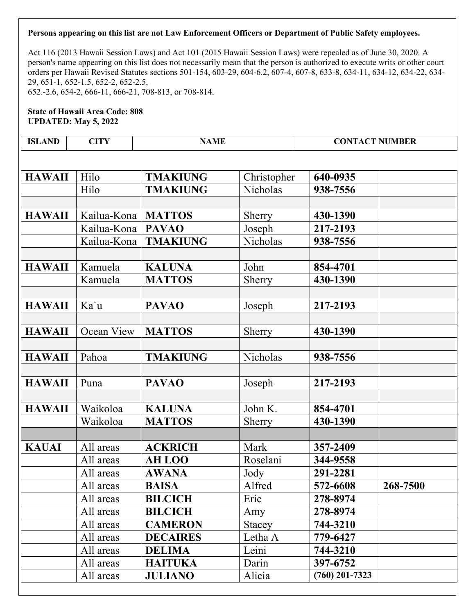Act 116 (2013 Hawaii Session Laws) and Act 101 (2015 Hawaii Session Laws) were repealed as of June 30, 2020. A person's name appearing on this list does not necessarily mean that the person is authorized to execute writs or other court orders per Hawaii Revised Statutes sections 501-154, 603-29, 604-6.2, 607-4, 607-8, 633-8, 634-11, 634-12, 634-22, 634- 29, 651-1, 652-1.5, 652-2, 652-2.5, 652.-2.6, 654-2, 666-11, 666-21, 708-813, or 708-814.

| ND<br>ISI | 71T | \ MF | <b>\CT NUMBER</b><br>$\cap$ NT<br>$\sim$ |
|-----------|-----|------|------------------------------------------|
|-----------|-----|------|------------------------------------------|

| <b>HAWAII</b> | Hilo        | <b>TMAKIUNG</b> | Christopher     | 640-0935         |          |
|---------------|-------------|-----------------|-----------------|------------------|----------|
|               | Hilo        | <b>TMAKIUNG</b> | <b>Nicholas</b> | 938-7556         |          |
|               |             |                 |                 |                  |          |
| <b>HAWAII</b> | Kailua-Kona | <b>MATTOS</b>   | Sherry          | 430-1390         |          |
|               | Kailua-Kona | <b>PAVAO</b>    | Joseph          | 217-2193         |          |
|               | Kailua-Kona | <b>TMAKIUNG</b> | Nicholas        | 938-7556         |          |
|               |             |                 |                 |                  |          |
| <b>HAWAII</b> | Kamuela     | <b>KALUNA</b>   | John            | 854-4701         |          |
|               | Kamuela     | <b>MATTOS</b>   | Sherry          | 430-1390         |          |
|               |             |                 |                 |                  |          |
| <b>HAWAII</b> | Ka'u        | <b>PAVAO</b>    | Joseph          | 217-2193         |          |
|               |             |                 |                 |                  |          |
| <b>HAWAII</b> | Ocean View  | <b>MATTOS</b>   | Sherry          | 430-1390         |          |
|               |             |                 |                 |                  |          |
| <b>HAWAII</b> | Pahoa       | <b>TMAKIUNG</b> | Nicholas        | 938-7556         |          |
|               |             |                 |                 |                  |          |
| <b>HAWAII</b> | Puna        | <b>PAVAO</b>    | Joseph          | 217-2193         |          |
|               |             |                 |                 |                  |          |
| <b>HAWAII</b> | Waikoloa    | <b>KALUNA</b>   | John K.         | 854-4701         |          |
|               | Waikoloa    | <b>MATTOS</b>   | Sherry          | 430-1390         |          |
|               |             |                 |                 |                  |          |
| <b>KAUAI</b>  | All areas   | <b>ACKRICH</b>  | Mark            | 357-2409         |          |
|               | All areas   | <b>AH LOO</b>   | Roselani        | 344-9558         |          |
|               | All areas   | <b>AWANA</b>    | Jody            | 291-2281         |          |
|               | All areas   | <b>BAISA</b>    | Alfred          | 572-6608         | 268-7500 |
|               | All areas   | <b>BILCICH</b>  | Eric            | 278-8974         |          |
|               | All areas   | <b>BILCICH</b>  | Amy             | 278-8974         |          |
|               | All areas   | <b>CAMERON</b>  | <b>Stacey</b>   | 744-3210         |          |
|               | All areas   | <b>DECAIRES</b> | Letha A         | 779-6427         |          |
|               | All areas   | <b>DELIMA</b>   | Leini           | 744-3210         |          |
|               | All areas   | <b>HAITUKA</b>  | Darin           | 397-6752         |          |
|               | All areas   | <b>JULIANO</b>  | Alicia          | $(760)$ 201-7323 |          |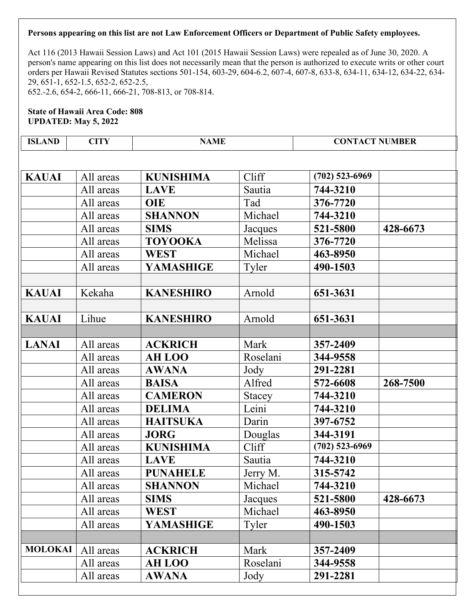Act 116 (2013 Hawaii Session Laws) and Act 101 (2015 Hawaii Session Laws) were repealed as of June 30, 2020. A person's name appearing on this list does not necessarily mean that the person is authorized to execute writs or other court orders per Hawaii Revised Statutes sections 501-154, 603-29, 604-6.2, 607-4, 607-8, 633-8, 634-11, 634-12, 634-22, 634- 29, 651-1, 652-1.5, 652-2, 652-2.5, 652.-2.6, 654-2, 666-11, 666-21, 708-813, or 708-814.

### **State of Hawaii Area Code: 808 UPDATED: May 5, 2022**

| <b>ISLAND</b>  | <b>CITY</b> | <b>NAME</b>      |          | <b>CONTACT NUMBER</b> |          |  |  |
|----------------|-------------|------------------|----------|-----------------------|----------|--|--|
|                |             |                  |          |                       |          |  |  |
| <b>KAUAI</b>   | All areas   | <b>KUNISHIMA</b> | Cliff    | $(702)$ 523-6969      |          |  |  |
|                | All areas   | <b>LAVE</b>      | Sautia   | 744-3210              |          |  |  |
|                | All areas   | <b>OIE</b>       | Tad      | 376-7720              |          |  |  |
|                | All areas   | <b>SHANNON</b>   | Michael  | 744-3210              |          |  |  |
|                | All areas   | <b>SIMS</b>      | Jacques  | 521-5800              | 428-6673 |  |  |
|                | All areas   | <b>TOYOOKA</b>   | Melissa  | 376-7720              |          |  |  |
|                | All areas   | <b>WEST</b>      | Michael  | 463-8950              |          |  |  |
|                | All areas   | <b>YAMASHIGE</b> | Tyler    | 490-1503              |          |  |  |
|                |             |                  |          |                       |          |  |  |
| <b>KAUAI</b>   | Kekaha      | <b>KANESHIRO</b> | Arnold   | 651-3631              |          |  |  |
|                |             |                  |          |                       |          |  |  |
| <b>KAUAI</b>   | Lihue       | <b>KANESHIRO</b> | Arnold   | 651-3631              |          |  |  |
|                |             |                  |          |                       |          |  |  |
| <b>LANAI</b>   | All areas   | <b>ACKRICH</b>   | Mark     | 357-2409              |          |  |  |
|                | All areas   | <b>AH LOO</b>    | Roselani | 344-9558              |          |  |  |
|                | All areas   | <b>AWANA</b>     | Jody     | 291-2281              |          |  |  |
|                | All areas   | <b>BAISA</b>     | Alfred   | 572-6608              | 268-7500 |  |  |
|                | All areas   | <b>CAMERON</b>   | Stacey   | 744-3210              |          |  |  |
|                | All areas   | <b>DELIMA</b>    | Leini    | 744-3210              |          |  |  |
|                | All areas   | <b>HAITSUKA</b>  | Darin    | 397-6752              |          |  |  |
|                | All areas   | <b>JORG</b>      | Douglas  | 344-3191              |          |  |  |
|                | All areas   | <b>KUNISHIMA</b> | Cliff    | $(702)$ 523-6969      |          |  |  |
|                | All areas   | <b>LAVE</b>      | Sautia   | 744-3210              |          |  |  |
|                | All areas   | <b>PUNAHELE</b>  | Jerry M. | 315-5742              |          |  |  |
|                | All areas   | <b>SHANNON</b>   | Michael  | 744-3210              |          |  |  |
|                | All areas   | <b>SIMS</b>      | Jacques  | 521-5800              | 428-6673 |  |  |
|                | All areas   | WEST             | Michael  | 463-8950              |          |  |  |
|                | All areas   | YAMASHIGE        | Tyler    | 490-1503              |          |  |  |
|                |             |                  |          |                       |          |  |  |
| <b>MOLOKAI</b> | All areas   | <b>ACKRICH</b>   | Mark     | 357-2409              |          |  |  |

All areas **AH LOO** Roselani **344-9558** All areas **AWANA** Jody **291-2281**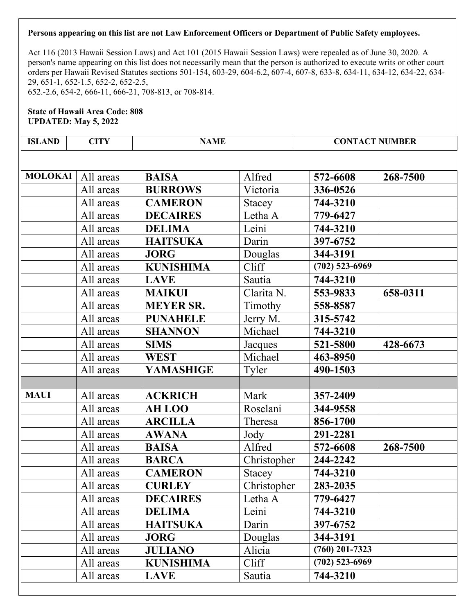Act 116 (2013 Hawaii Session Laws) and Act 101 (2015 Hawaii Session Laws) were repealed as of June 30, 2020. A person's name appearing on this list does not necessarily mean that the person is authorized to execute writs or other court orders per Hawaii Revised Statutes sections 501-154, 603-29, 604-6.2, 607-4, 607-8, 633-8, 634-11, 634-12, 634-22, 634- 29, 651-1, 652-1.5, 652-2, 652-2.5, 652.-2.6, 654-2, 666-11, 666-21, 708-813, or 708-814.

| <b>ISLAND</b>  | <b>CITY</b> | <b>NAME</b>      |               | <b>CONTACT NUMBER</b> |          |
|----------------|-------------|------------------|---------------|-----------------------|----------|
|                |             |                  |               |                       |          |
| <b>MOLOKAI</b> | All areas   | <b>BAISA</b>     | Alfred        | 572-6608              | 268-7500 |
|                | All areas   | <b>BURROWS</b>   | Victoria      | 336-0526              |          |
|                | All areas   | <b>CAMERON</b>   | <b>Stacey</b> | 744-3210              |          |
|                | All areas   | <b>DECAIRES</b>  | Letha A       | 779-6427              |          |
|                | All areas   | <b>DELIMA</b>    | Leini         | 744-3210              |          |
|                | All areas   | <b>HAITSUKA</b>  | Darin         | 397-6752              |          |
|                | All areas   | <b>JORG</b>      | Douglas       | 344-3191              |          |
|                | All areas   | <b>KUNISHIMA</b> | Cliff         | $(702)$ 523-6969      |          |
|                | All areas   | <b>LAVE</b>      | Sautia        | 744-3210              |          |
|                | All areas   | <b>MAIKUI</b>    | Clarita N.    | 553-9833              | 658-0311 |
|                | All areas   | <b>MEYER SR.</b> | Timothy       | 558-8587              |          |
|                | All areas   | <b>PUNAHELE</b>  | Jerry M.      | 315-5742              |          |
|                | All areas   | <b>SHANNON</b>   | Michael       | 744-3210              |          |
|                | All areas   | <b>SIMS</b>      | Jacques       | 521-5800              | 428-6673 |
|                | All areas   | <b>WEST</b>      | Michael       | 463-8950              |          |
|                | All areas   | <b>YAMASHIGE</b> | Tyler         | 490-1503              |          |
|                |             |                  |               |                       |          |
| <b>MAUI</b>    | All areas   | <b>ACKRICH</b>   | Mark          | 357-2409              |          |
|                | All areas   | <b>AH LOO</b>    | Roselani      | 344-9558              |          |
|                | All areas   | <b>ARCILLA</b>   | Theresa       | 856-1700              |          |
|                | All areas   | <b>AWANA</b>     | Jody          | 291-2281              |          |
|                | All areas   | <b>BAISA</b>     | Alfred        | 572-6608              | 268-7500 |
|                | All areas   | <b>BARCA</b>     | Christopher   | 244-2242              |          |
|                | All areas   | <b>CAMERON</b>   | <b>Stacey</b> | 744-3210              |          |
|                | All areas   | <b>CURLEY</b>    | Christopher   | 283-2035              |          |
|                | All areas   | <b>DECAIRES</b>  | Letha A       | 779-6427              |          |
|                | All areas   | <b>DELIMA</b>    | Leini         | 744-3210              |          |
|                | All areas   | <b>HAITSUKA</b>  | Darin         | 397-6752              |          |
|                | All areas   | <b>JORG</b>      | Douglas       | 344-3191              |          |
|                | All areas   | <b>JULIANO</b>   | Alicia        | $(760)$ 201-7323      |          |
|                | All areas   | <b>KUNISHIMA</b> | Cliff         | $(702)$ 523-6969      |          |
|                | All areas   | <b>LAVE</b>      | Sautia        | 744-3210              |          |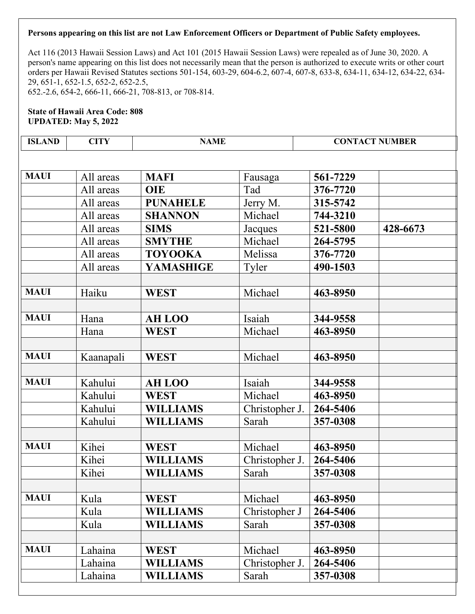Act 116 (2013 Hawaii Session Laws) and Act 101 (2015 Hawaii Session Laws) were repealed as of June 30, 2020. A person's name appearing on this list does not necessarily mean that the person is authorized to execute writs or other court orders per Hawaii Revised Statutes sections 501-154, 603-29, 604-6.2, 607-4, 607-8, 633-8, 634-11, 634-12, 634-22, 634- 29, 651-1, 652-1.5, 652-2, 652-2.5, 652.-2.6, 654-2, 666-11, 666-21, 708-813, or 708-814.

**State of Hawaii Area Code: 808 UPDATED: May 5, 2022** 

| <b>ISLAND</b> | <b>CITY</b> | <b>NAME</b>      |                |          | <b>CONTACT NUMBER</b> |
|---------------|-------------|------------------|----------------|----------|-----------------------|
|               |             |                  |                |          |                       |
| <b>MAUI</b>   | All areas   | <b>MAFI</b>      | Fausaga        | 561-7229 |                       |
|               | All areas   | <b>OIE</b>       | Tad            | 376-7720 |                       |
|               | All areas   | <b>PUNAHELE</b>  | Jerry M.       | 315-5742 |                       |
|               | All areas   | <b>SHANNON</b>   | Michael        | 744-3210 |                       |
|               | All areas   | <b>SIMS</b>      | Jacques        | 521-5800 | 428-6673              |
|               | All areas   | <b>SMYTHE</b>    | Michael        | 264-5795 |                       |
|               | All areas   | <b>TOYOOKA</b>   | Melissa        | 376-7720 |                       |
|               | All areas   | <b>YAMASHIGE</b> | Tyler          | 490-1503 |                       |
|               |             |                  |                |          |                       |
| <b>MAUI</b>   | Haiku       | <b>WEST</b>      | Michael        | 463-8950 |                       |
|               |             |                  |                |          |                       |
| <b>MAUI</b>   | Hana        | <b>AH LOO</b>    | Isaiah         | 344-9558 |                       |
|               | Hana        | <b>WEST</b>      | Michael        | 463-8950 |                       |
|               |             |                  |                |          |                       |
| <b>MAUI</b>   | Kaanapali   | <b>WEST</b>      | Michael        | 463-8950 |                       |
|               |             |                  |                |          |                       |
| <b>MAUI</b>   | Kahului     | <b>AH LOO</b>    | Isaiah         | 344-9558 |                       |
|               | Kahului     | <b>WEST</b>      | Michael        | 463-8950 |                       |
|               | Kahului     | <b>WILLIAMS</b>  | Christopher J. | 264-5406 |                       |
|               | Kahului     | <b>WILLIAMS</b>  | Sarah          | 357-0308 |                       |
|               |             |                  |                |          |                       |
| <b>MAUI</b>   | Kihei       | <b>WEST</b>      | Michael        | 463-8950 |                       |
|               | Kihei       | <b>WILLIAMS</b>  | Christopher J. | 264-5406 |                       |
|               | Kihei       | <b>WILLIAMS</b>  | Sarah          | 357-0308 |                       |
|               |             |                  |                |          |                       |
| <b>MAUI</b>   | Kula        | <b>WEST</b>      | Michael        | 463-8950 |                       |
|               | Kula        | <b>WILLIAMS</b>  | Christopher J  | 264-5406 |                       |
|               | Kula        | <b>WILLIAMS</b>  | Sarah          | 357-0308 |                       |
|               |             |                  |                |          |                       |
| <b>MAUI</b>   | Lahaina     | <b>WEST</b>      | Michael        | 463-8950 |                       |
|               | Lahaina     | <b>WILLIAMS</b>  | Christopher J. | 264-5406 |                       |

Lahaina **WILLIAMS** Sarah 357-0308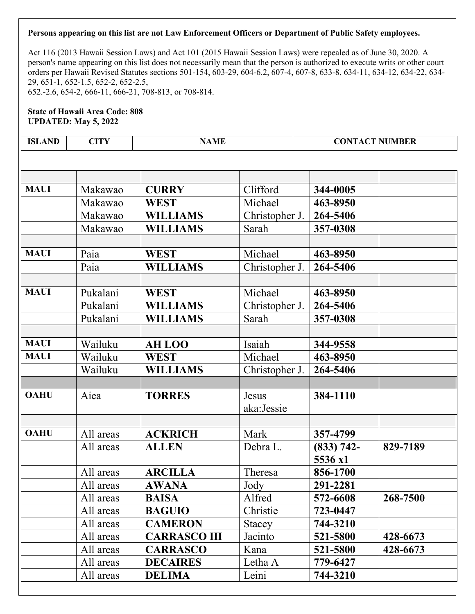Act 116 (2013 Hawaii Session Laws) and Act 101 (2015 Hawaii Session Laws) were repealed as of June 30, 2020. A person's name appearing on this list does not necessarily mean that the person is authorized to execute writs or other court orders per Hawaii Revised Statutes sections 501-154, 603-29, 604-6.2, 607-4, 607-8, 633-8, 634-11, 634-12, 634-22, 634- 29, 651-1, 652-1.5, 652-2, 652-2.5, 652.-2.6, 654-2, 666-11, 666-21, 708-813, or 708-814.

## **State of Hawaii Area Code: 808 UPDATED: May 5, 2022**

| <b>ISLAND</b> | <b>CITY</b> | <b>NAME</b>         |                | <b>CONTACT NUMBER</b> |          |
|---------------|-------------|---------------------|----------------|-----------------------|----------|
|               |             |                     |                |                       |          |
|               |             |                     |                |                       |          |
|               |             |                     |                |                       |          |
| <b>MAUI</b>   | Makawao     | <b>CURRY</b>        | Clifford       | 344-0005              |          |
|               | Makawao     | <b>WEST</b>         | Michael        | 463-8950              |          |
|               | Makawao     | <b>WILLIAMS</b>     | Christopher J. | 264-5406              |          |
|               | Makawao     | <b>WILLIAMS</b>     | Sarah          | 357-0308              |          |
|               |             |                     |                |                       |          |
| <b>MAUI</b>   | Paia        | <b>WEST</b>         | Michael        | 463-8950              |          |
|               | Paia        | <b>WILLIAMS</b>     | Christopher J. | 264-5406              |          |
|               |             |                     |                |                       |          |
| <b>MAUI</b>   | Pukalani    | <b>WEST</b>         | Michael        | 463-8950              |          |
|               | Pukalani    | <b>WILLIAMS</b>     | Christopher J. | 264-5406              |          |
|               | Pukalani    | <b>WILLIAMS</b>     | Sarah          | 357-0308              |          |
|               |             |                     |                |                       |          |
| <b>MAUI</b>   | Wailuku     | <b>AH LOO</b>       | Isaiah         | 344-9558              |          |
| <b>MAUI</b>   | Wailuku     | <b>WEST</b>         | Michael        | 463-8950              |          |
|               | Wailuku     | <b>WILLIAMS</b>     | Christopher J. | 264-5406              |          |
|               |             |                     |                |                       |          |
| <b>OAHU</b>   | Aiea        | <b>TORRES</b>       | Jesus          | 384-1110              |          |
|               |             |                     | aka:Jessie     |                       |          |
|               |             |                     |                |                       |          |
| <b>OAHU</b>   | All areas   | <b>ACKRICH</b>      | Mark           | 357-4799              |          |
|               | All areas   | <b>ALLEN</b>        | Debra L.       | $(833) 742 -$         | 829-7189 |
|               |             |                     |                | 5536 x1               |          |
|               | All areas   | <b>ARCILLA</b>      | Theresa        | 856-1700              |          |
|               | All areas   | <b>AWANA</b>        | Jody           | 291-2281              |          |
|               | All areas   | <b>BAISA</b>        | Alfred         | 572-6608              | 268-7500 |
|               | All areas   | <b>BAGUIO</b>       | Christie       | 723-0447              |          |
|               | All areas   | <b>CAMERON</b>      | Stacey         | 744-3210              |          |
|               | All areas   | <b>CARRASCO III</b> | Jacinto        | 521-5800              | 428-6673 |
|               | All areas   | <b>CARRASCO</b>     | Kana           | 521-5800              | 428-6673 |
|               | All areas   | <b>DECAIRES</b>     | Letha A        | 779-6427              |          |

All areas **DELIMA** Leini **744-3210**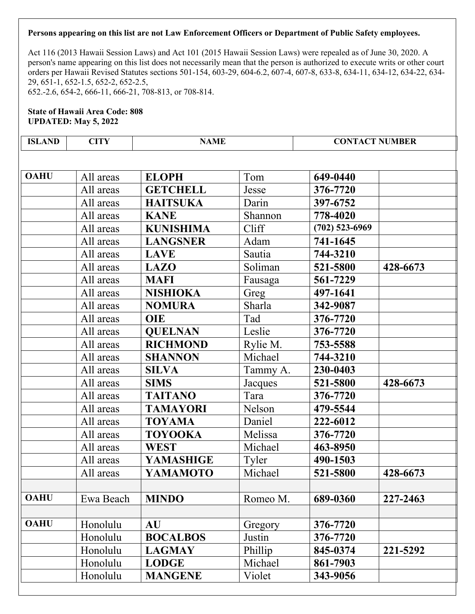Act 116 (2013 Hawaii Session Laws) and Act 101 (2015 Hawaii Session Laws) were repealed as of June 30, 2020. A person's name appearing on this list does not necessarily mean that the person is authorized to execute writs or other court orders per Hawaii Revised Statutes sections 501-154, 603-29, 604-6.2, 607-4, 607-8, 633-8, 634-11, 634-12, 634-22, 634- 29, 651-1, 652-1.5, 652-2, 652-2.5, 652.-2.6, 654-2, 666-11, 666-21, 708-813, or 708-814.

| <b>ISLAND</b> | <b>CITY</b> | <b>NAME</b>      |          | <b>CONTACT NUMBER</b> |          |
|---------------|-------------|------------------|----------|-----------------------|----------|
|               |             |                  |          |                       |          |
| <b>OAHU</b>   | All areas   | <b>ELOPH</b>     | Tom      | 649-0440              |          |
|               | All areas   | <b>GETCHELL</b>  | Jesse    | 376-7720              |          |
|               | All areas   | <b>HAITSUKA</b>  | Darin    | 397-6752              |          |
|               | All areas   | <b>KANE</b>      | Shannon  | 778-4020              |          |
|               | All areas   | <b>KUNISHIMA</b> | Cliff    | $(702)$ 523-6969      |          |
|               | All areas   | <b>LANGSNER</b>  | Adam     | 741-1645              |          |
|               | All areas   | <b>LAVE</b>      | Sautia   | 744-3210              |          |
|               | All areas   | <b>LAZO</b>      | Soliman  | 521-5800              | 428-6673 |
|               | All areas   | <b>MAFI</b>      | Fausaga  | 561-7229              |          |
|               | All areas   | <b>NISHIOKA</b>  | Greg     | 497-1641              |          |
|               | All areas   | <b>NOMURA</b>    | Sharla   | 342-9087              |          |
|               | All areas   | <b>OIE</b>       | Tad      | 376-7720              |          |
|               | All areas   | <b>QUELNAN</b>   | Leslie   | 376-7720              |          |
|               | All areas   | <b>RICHMOND</b>  | Rylie M. | 753-5588              |          |
|               | All areas   | <b>SHANNON</b>   | Michael  | 744-3210              |          |
|               | All areas   | <b>SILVA</b>     | Tammy A. | 230-0403              |          |
|               | All areas   | <b>SIMS</b>      | Jacques  | 521-5800              | 428-6673 |
|               | All areas   | <b>TAITANO</b>   | Tara     | 376-7720              |          |
|               | All areas   | <b>TAMAYORI</b>  | Nelson   | 479-5544              |          |
|               | All areas   | <b>TOYAMA</b>    | Daniel   | 222-6012              |          |
|               | All areas   | <b>TOYOOKA</b>   | Melissa  | 376-7720              |          |
|               | All areas   | <b>WEST</b>      | Michael  | 463-8950              |          |
|               | All areas   | <b>YAMASHIGE</b> | Tyler    | 490-1503              |          |
|               | All areas   | <b>YAMAMOTO</b>  | Michael  | 521-5800              | 428-6673 |
|               |             |                  |          |                       |          |
| <b>OAHU</b>   | Ewa Beach   | <b>MINDO</b>     | Romeo M. | 689-0360              | 227-2463 |
|               |             |                  |          |                       |          |
| <b>OAHU</b>   | Honolulu    | <b>AU</b>        | Gregory  | 376-7720              |          |
|               | Honolulu    | <b>BOCALBOS</b>  | Justin   | 376-7720              |          |
|               | Honolulu    | <b>LAGMAY</b>    | Phillip  | 845-0374              | 221-5292 |
|               | Honolulu    | <b>LODGE</b>     | Michael  | 861-7903              |          |
|               | Honolulu    | <b>MANGENE</b>   | Violet   | 343-9056              |          |